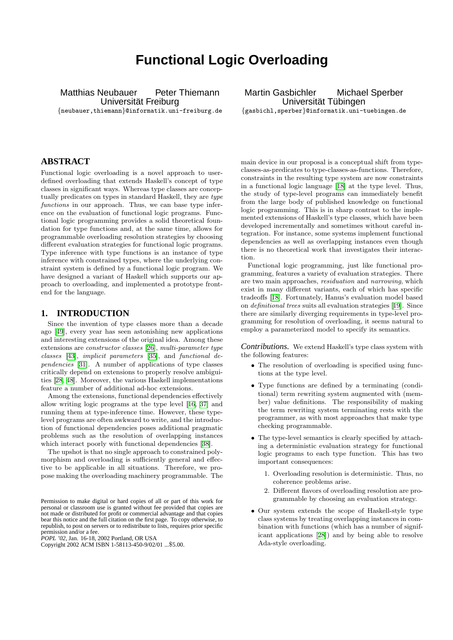# **Functional Logic Overloading**

Matthias Neubauer Peter Thiemann Universität Freiburg {neubauer,thiemann}@informatik.uni-freiburg.de

# **ABSTRACT**

Functional logic overloading is a novel approach to userdefined overloading that extends Haskell's concept of type classes in significant ways. Whereas type classes are conceptually predicates on types in standard Haskell, they are type functions in our approach. Thus, we can base type inference on the evaluation of functional logic programs. Functional logic programming provides a solid theoretical foundation for type functions and, at the same time, allows for programmable overloading resolution strategies by choosing different evaluation strategies for functional logic programs. Type inference with type functions is an instance of type inference with constrained types, where the underlying constraint system is defined by a functional logic program. We have designed a variant of Haskell which supports our approach to overloading, and implemented a prototype frontend for the language.

## **1. INTRODUCTION**

Since the invention of type classes more than a decade ago[[49](#page-11-0)], every year has seen astonishing new applications and interesting extensions of the original idea. Among these extensions are constructor classes [\[26](#page-11-1)], multi-parameter type classes [[43](#page-11-2)], implicit parameters [\[35](#page-11-3)], and functional dependencies [[31](#page-11-4)]. A number of applications of type classes critically depend on extensions to properly resolve ambiguities[[28](#page-11-5), [48\]](#page-11-6). Moreover, the various Haskell implementations feature a number of additional ad-hoc extensions.

Among the extensions, functional dependencies effectively allow writing logic programs at the type level [\[16](#page-10-0), [37\]](#page-11-7) and running them at type-inference time. However, these typelevel programs are often awkward to write, and the introduction of functional dependencies poses additional pragmatic problems such as the resolution of overlapping instances whichinteract poorly with functional dependencies [[38\]](#page-11-8).

The upshot is that no single approach to constrained polymorphism and overloading is sufficiently general and effective to be applicable in all situations. Therefore, we propose making the overloading machinery programmable. The

*POPL '02,* Jan. 16-18, 2002 Portland, OR USA

Martin Gasbichler Michael Sperber Universität Tübingen {gasbichl,sperber}@informatik.uni-tuebingen.de

main device in our proposal is a conceptual shift from typeclasses-as-predicates to type-classes-as-functions. Therefore, constraints in the resulting type system are now constraints in a functional logic language[[18](#page-11-9)] at the type level. Thus, the study of type-level programs can immediately benefit from the large body of published knowledge on functional logic programming. This is in sharp contrast to the implemented extensions of Haskell's type classes, which have been developed incrementally and sometimes without careful integration. For instance, some systems implement functional dependencies as well as overlapping instances even though there is no theoretical work that investigates their interaction.

Functional logic programming, just like functional programming, features a variety of evaluation strategies. There are two main approaches, residuation and narrowing, which exist in many different variants, each of which has specific tradeoffs [\[18](#page-11-9)]. Fortunately, Hanus's evaluation model based on definitional trees suits all evaluation strategies[[19\]](#page-11-10). Since there are similarly diverging requirements in type-level programming for resolution of overloading, it seems natural to employ a parameterized model to specify its semantics.

*Contributions.* We extend Haskell's type class system with the following features:

- The resolution of overloading is specified using functions at the type level.
- Type functions are defined by a terminating (conditional) term rewriting system augmented with (member) value definitions. The responsibility of making the term rewriting system terminating rests with the programmer, as with most approaches that make type checking programmable.
- The type-level semantics is clearly specified by attaching a deterministic evaluation strategy for functional logic programs to each type function. This has two important consequences:
	- 1. Overloading resolution is deterministic. Thus, no coherence problems arise.
	- 2. Different flavors of overloading resolution are programmable by choosing an evaluation strategy.
- Our system extends the scope of Haskell-style type class systems by treating overlapping instances in combination with functions (which has a number of significant applications[[28](#page-11-5)]) and by being able to resolve Ada-style overloading.

Permission to make digital or hard copies of all or part of this work for personal or classroom use is granted without fee provided that copies are not made or distributed for profit or commercial advantage and that copies bear this notice and the full citation on the first page. To copy otherwise, to republish, to post on servers or to redistribute to lists, requires prior specific permission and/or a fee.

Copyright 2002 ACM ISBN 1-58113-450-9/02/01 ...\$5.00.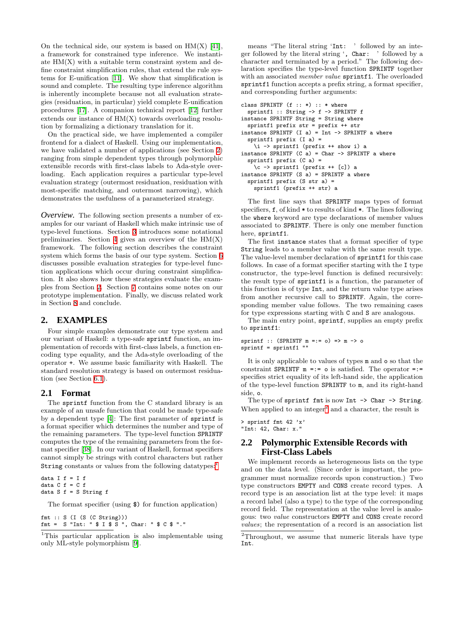Onthe technical side, our system is based on  $HM(X)$  [[41\]](#page-11-11), a framework for constrained type inference. We instantiate  $HM(X)$  with a suitable term constraint system and define constraint simplification rules, that extend the rule systems for E-unification [\[11](#page-10-1)]. We show that simplification is sound and complete. The resulting type inference algorithm is inherently incomplete because not all evaluation strategies (residuation, in particular) yield complete E-unification procedures [\[17](#page-11-12)]. A companion technical report[[12\]](#page-10-2) further extends our instance of HM(X) towards overloading resolution by formalizing a dictionary translation for it.

On the practical side, we have implemented a compiler frontend for a dialect of Haskell. Using our implementation, we have validated a number of applications (see Section [2](#page-1-0)) ranging from simple dependent types through polymorphic extensible records with first-class labels to Ada-style overloading. Each application requires a particular type-level evaluation strategy (outermost residuation, residuation with most-specific matching, and outermost narrowing), which demonstrates the usefulness of a parameterized strategy.

*Overview.* The following section presents a number of examples for our variant of Haskell which make intrinsic use of type-level functions. Section [3](#page-3-0) introduces some notational preliminaries. Section [4](#page-3-1) gives an overview of the  $HM(X)$ framework. The following section describes the constraint system which forms the basis of our type system. Section [6](#page-5-0) discusses possible evaluation strategies for type-level function applications which occur during constraint simplification. It also shows how these strategies evaluate the examples from Section [2](#page-1-0). Section [7](#page-9-0) contains some notes on our prototype implementation. Finally, we discuss related work in Section [8](#page-9-1) and conclude.

# <span id="page-1-0"></span>**2. EXAMPLES**

Four simple examples demonstrate our type system and our variant of Haskell: a type-safe sprintf function, an implementation of records with first-class labels, a function encoding type equality, and the Ada-style overloading of the operator +. We assume basic familiarity with Haskell. The standard resolution strategy is based on outermost residuation (see Section [6.1](#page-5-1)).

# **2.1 Format**

The sprintf function from the C standard library is an example of an unsafe function that could be made type-safe by a dependent type[[4](#page-10-3)]: The first parameter of sprintf is a format specifier which determines the number and type of the remaining parameters. The type-level function SPRINTF computes the type of the remaining parameters from the format specifier [\[38](#page-11-8)]. In our variant of Haskell, format specifiers cannot simply be strings with control characters but rather String constants or values from the following datatypes: $<sup>1</sup>$  $<sup>1</sup>$  $<sup>1</sup>$ </sup>

```
data I f = I fdata C f = C fdata S f = S String f
```
The format specifier (using \$) for function application)

```
fmt :: S (I (S (C String)))
fmt = S "Int: " $ I $ S ", Char: " $ C $ "."
```
<span id="page-1-1"></span><sup>1</sup>This particular application is also implementable using only ML-style polymorphism[[9\]](#page-10-4).

means "The literal string 'Int: ' followed by an integer followed by the literal string ', Char: ' followed by a character and terminated by a period." The following declaration specifies the type-level function SPRINTF together with an associated member value sprintf1. The overloaded sprintf1 function accepts a prefix string, a format specifier, and corresponding further arguments:

```
class SPRINTF (f : : *) : : * where
 sprintf1 :: String -> f -> SPRINTF f
instance SPRINTF String = String where
 sprintf1 prefix str = prefix ++ str
instance SPRINTF (I a) = Int -> SPRINTF a where
  sprintf1 prefix (I a) =\i -> sprintf1 (prefix ++ show i) a
instance SPRINTF (C \ a) = Char \rightarrow SPRINTER where
  sprintf1 prefix (C a) =
    \c -> sprintf1 (prefix ++ [c]) a
instance SPRINTF (S a) = SPRINTF a where
 sprintf1 prefix (S str a) =sprintf1 (prefix ++ str) a
```
The first line says that SPRINTF maps types of format specifiers, f, of kind  $*$  to results of kind  $*$ . The lines following the where keyword are type declarations of member values associated to SPRINTF. There is only one member function here, sprintf1.

The first instance states that a format specifier of type String leads to a member value with the same result type. The value-level member declaration of sprintf1 for this case follows. In case of a format specifier starting with the I type constructor, the type-level function is defined recursively: the result type of sprintf1 is a function, the parameter of this function is of type Int, and the return value type arises from another recursive call to SPRINTF. Again, the corresponding member value follows. The two remaining cases for type expressions starting with C and S are analogous.

The main entry point, sprintf, supplies an empty prefix to sprintf1:

sprintf :: (SPRINTF  $m == o$ ) =>  $m → o$ sprintf = sprintf1 ""

It is only applicable to values of types m and o so that the constraint SPRINTF  $m == o$  is satisfied. The operator  $=:$ specifies strict equality of its left-hand side, the application of the type-level function SPRINTF to m, and its right-hand side, o.

The type of sprintf fmt is now Int -> Char -> String. When applied to an integer<sup>[2](#page-1-2)</sup> and a character, the result is

> sprintf fmt 42 'x' "Int: 42, Char: x."

# **2.2 Polymorphic Extensible Records with First-Class Labels**

We implement records as heterogeneous lists on the type and on the data level. (Since order is important, the programmer must normalize records upon construction.) Two type constructors EMPTY and CONS create record types. A record type is an association list at the type level: it maps a record label (also a type) to the type of the corresponding record field. The representation at the value level is analogous: two value constructors EMPTY and CONS create record values; the representation of a record is an association list

<span id="page-1-2"></span><sup>2</sup>Throughout, we assume that numeric literals have type Int.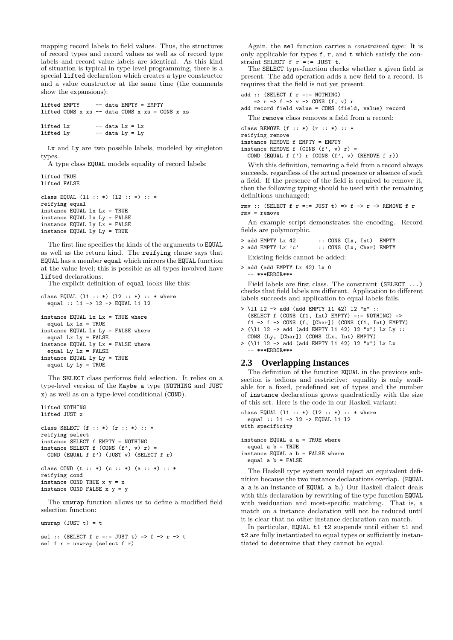mapping record labels to field values. Thus, the structures of record types and record values as well as of record type labels and record value labels are identical. As this kind of situation is typical in type-level programming, there is a special lifted declaration which creates a type constructor and a value constructor at the same time (the comments show the expansions):

```
lifted EMPTY -- data EMPTY = EMPTY
lifted CONS x xs -- data CONS x xs = CONS x xs
lifted Lx -- data Lx = Lxlifted Ly = - data Ly = Ly
```
Lx and Ly are two possible labels, modeled by singleton types.

A type class EQUAL models equality of record labels:

```
lifted TRUE
lifted FALSE
class EQUAL (l1 :: *) (l2 :: *) :: *
reifying equal
instance EQUAL Lx Lx = TRUE
instance EQUAL Lx Ly = FALSE
instance EQUAL Ly Lx = FALSEinstance EQUAL Ly Ly = TRUE
```
The first line specifies the kinds of the arguments to EQUAL as well as the return kind. The reifying clause says that EQUAL has a member equal which mirrors the EQUAL function at the value level; this is possible as all types involved have lifted declarations.

The explicit definition of equal looks like this:

```
class EQUAL (11 : :*) (12 : :*) : : * where
 equal :: l1 -> l2 -> EQUAL l1 l2
instance EQUAL Lx Lx = TRUE where
 equal Lx Lx = TRUE
instance EQUAL Lx Ly = FALSE where
 equal Lx Ly = FALSEinstance EQUAL Ly Lx = FALSE where
 equal Ly Lx = FALSE
instance EQUAL Ly Ly = TRUE
 equal Ly Ly = TRUE
```
The SELECT class performs field selection. It relies on a type-level version of the Maybe a type (NOTHING and JUST x) as well as on a type-level conditional (COND).

```
lifted JUST x
class SELECT (f :: *) (r :: *) :: *
reifying select
instance SELECT f EMPTY = NOTHING
instance SELECT f (CONS (f', v) r) =
  COND (EQUAL f f') (JUST v) (SELECT f r)
class COND (t :: *) (c :: *) (a :: *) :: *
reifying cond
instance COND TRUE x y = xinstance COND FALSE x y = y
```
lifted NOTHING

The unwrap function allows us to define a modified field selection function:

unwrap  $(JUST t) = t$ sel :: (SELECT f r =:= JUST t) => f -> r -> t sel f r = unwrap (select f r)

Again, the sel function carries a *constrained type*: It is only applicable for types  $f, r$ , and  $t$  which satisfy the constraint SELECT  $f$   $r$  =:= JUST  $t$ .

The SELECT type-function checks whether a given field is present. The add operation adds a new field to a record. It requires that the field is not yet present.

```
add :: (SELECT f r =:= NOTHING)
     \Rightarrow r \rightarrow f \rightarrow v \rightarrow CONS (f, v) r
```
add record field value = CONS (field, value) record

The remove class removes a field from a record:

```
class REMOVE (f :: *) (r :: *) :: *
```
reifying remove

instance REMOVE f EMPTY = EMPTY instance REMOVE  $f$  (CONS  $(f', v)$  r) =

COND (EQUAL  $f f'$ )  $r$  (CONS  $(f', v)$  (REMOVE  $f(r)$ )

With this definition, removing a field from a record always succeeds, regardless of the actual presence or absence of such a field. If the presence of the field is required to remove it, then the following typing should be used with the remaining definitions unchanged:

```
rmv :: (SELECT f r =:= JUST t) => f -> r -> REMOVE f r
rm = remove
```
An example script demonstrates the encoding. Record fields are polymorphic.

|  |  | > add EMPTY Lx 42 |  |  |  |  |  |  | :: CONS (Lx, Int) EMPTY |
|--|--|-------------------|--|--|--|--|--|--|-------------------------|
|--|--|-------------------|--|--|--|--|--|--|-------------------------|

| > add EMPTY Lx 'c' |  |  | $::$ CONS (Lx, Char) EMPTY |  |
|--------------------|--|--|----------------------------|--|
|                    |  |  |                            |  |

Existing fields cannot be added:

> add (add EMPTY Lx 42) Lx 0 -- \*\*\*ERROR\*\*\*

Field labels are first class. The constraint (SELECT ...) checks that field labels are different. Application to different labels succeeds and application to equal labels fails.

```
> \l1 l2 -> add (add EMPTY l1 42) l2 "x" ::
  (SELECT f (CONS (f1, Int) EMPTY) =:= NOTHING) =>
  f1 -> f -> CONS (f, [Char]) (CONS (f1, Int) EMPTY)
> (\l1 l2 -> add (add EMPTY l1 42) l2 "x") Lx Ly ::
  CONS (Ly, [Char]) (CONS (Lx, Int) EMPTY)
> (\l1 l2 -> add (add EMPTY l1 42) l2 "x") Lx Lx
   -- ***ERROR***
```
# <span id="page-2-0"></span>**2.3 Overlapping Instances**

The definition of the function EQUAL in the previous subsection is tedious and restrictive: equality is only available for a fixed, predefined set of types and the number of instance declarations grows quadratically with the size of this set. Here is the code in our Haskell variant:

```
class EQUAL (11 :: *) (12 :: *) :: * where
  equal :: l1 -> l2 -> EQUAL l1 l2
with specificity
```

```
instance EQUAL a a = TRUE where
  equal a \overrightarrow{b} = TRUE
instance EQUAL a b = FALSE where
  equal a b = FALSE
```
The Haskell type system would reject an equivalent definition because the two instance declarations overlap. (EQUAL a a is an instance of EQUAL a b.) Our Haskell dialect deals with this declaration by rewriting of the type function EQUAL with residuation and most-specific matching. That is, a match on a instance declaration will not be reduced until it is clear that no other instance declaration can match.

In particular, EQUAL t1 t2 suspends until either t1 and t2 are fully instantiated to equal types or sufficiently instantiated to determine that they cannot be equal.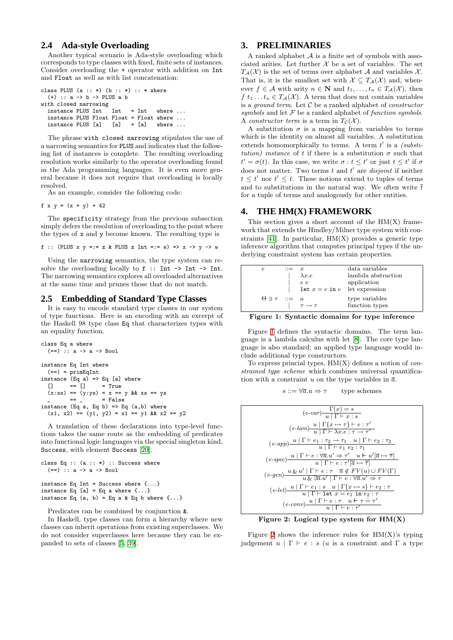### <span id="page-3-4"></span>**2.4 Ada-style Overloading**

Another typical scenario is Ada-style overloading which corresponds to type classes with fixed, finite sets of instances. Consider overloading the + operator with addition on Int and Float as well as with list concatenation:

| class PLUS $(a : : *)(b : : *) : : *where$ |  |  |  |  |
|--------------------------------------------|--|--|--|--|
| $(+)$ : a -> b -> PLUS a b                 |  |  |  |  |
| with closed narrowing                      |  |  |  |  |
| instance PLUS Int Int = Int where $\dots$  |  |  |  |  |
| instance PLUS Float Float = Float where    |  |  |  |  |
| instance PLUS $[a]$ $[a]$ = $[a]$ where    |  |  |  |  |

The phrase with closed narrowing stipulates the use of a narrowing semantics for PLUS and indicates that the following list of instances is complete. The resulting overloading resolution works similarly to the operator overloading found in the Ada programming languages. It is even more general because it does not require that overloading is locally resolved.

As an example, consider the following code:

f  $x \ y = (x + y) + 42$ 

The specificity strategy from the previous subsection simply defers the resolution of overloading to the point where the types of x and y become known. The resulting type is

```
f :: (PLUS x \ y == z \ & PLUS z Int =:= w) => x \rightarrow y \rightarrow w
```
Using the narrowing semantics, the type system can resolve the overloading locally to  $f$  :: Int  $\rightarrow$  Int  $\rightarrow$  Int. The narrowing semantics explores all overloaded alternatives at the same time and prunes those that do not match.

### **2.5 Embedding of Standard Type Classes**

It is easy to encode standard type classes in our system of type functions. Here is an encoding with an excerpt of the Haskell 98 type class Eq that characterizes types with an equality function.

```
class Eq a where
  (==) :: a -> a -> Bool
instance Eq Int where
  (==) = primeGIntinstance (Eq a) => Eq [a] where<br>
[] == [] = True
  \begin{bmatrix} 1 & -1 \end{bmatrix}(x:xs) == (y:ys) = x == y & xs == ys<br>== _ = False
                      = False
instance (Eq a, Eq b) \Rightarrow Eq (a,b) where
  (x1, x2) = (y1, y2) = x1 = y1 & x2 = y2
```
A translation of these declarations into type-level functions takes the same route as the embedding of predicates into functional logic languages via the special singleton kind, Success, with element Success [\[20](#page-11-13)].

```
class Eq :: (a :: *) :: Success where
  (==) :: a -> a -> Bool
instance Eq Int = Success where {...}
instance Eq [a] = Eq a where \{ \ldots \}instance Eq (a, b) = Eq a & Eq b where <math>\{... \}
```
Predicates can be combined by conjunction &.

In Haskell, type classes can form a hierarchy where new classes can inherit operations from existing superclasses. We do not consider superclasses here because they can be expanded to sets of classes[[5](#page-10-5), [39](#page-11-14)].

# <span id="page-3-0"></span>**3. PRELIMINARIES**

A ranked alphabet  $A$  is a finite set of symbols with associated arities. Let further  $X$  be a set of variables. The set  $T_{\mathcal{A}}(\mathcal{X})$  is the set of terms over alphabet A and variables X. That is, it is the smallest set with  $\mathcal{X} \subseteq T_{\mathcal{A}}(\mathcal{X})$  and, whenever  $f \in \mathcal{A}$  with arity  $n \in \mathbb{N}$  and  $t_1, \ldots, t_n \in T_{\mathcal{A}}(\mathcal{X})$ , then  $f t_1 \dots t_n \in T_A(\mathcal{X})$ . A term that does not contain variables is a *ground term*. Let  $C$  be a ranked alphabet of *constructor* symbols and let  $\mathcal F$  be a ranked alphabet of function symbols. A constructor term is a term in  $T_{\mathcal{C}}(\mathcal{X})$ .

A substitution  $\sigma$  is a mapping from variables to terms which is the identity on almost all variables. A substitution extends homomorphically to terms. A term  $t'$  is a *(substi*tution) instance of t if there is a substitution  $\sigma$  such that  $t' = \sigma(t)$ . In this case, we write  $\sigma : t \leq t'$  or just  $t \leq t'$  if  $\sigma$ does not matter. Two terms  $t$  and  $t'$  are *disjoint* if neither  $t \leq t'$  nor  $t' \leq t$ . These notions extend to tuples of terms and to substitutions in the natural way. We often write  $\bar{t}$ for a tuple of terms and analogously for other entities.

### <span id="page-3-1"></span>**4. THE HM(X) FRAMEWORK**

This section gives a short account of the  $HM(X)$  framework that extends the Hindley/Milner type system with con-straints[[41](#page-11-11)]. In particular,  $HM(X)$  provides a generic type inference algorithm that computes principal types if the underlying constraint system has certain properties.

| е                            | $\mathbb{R}^n$ | x                                                                              | data variables     |
|------------------------------|----------------|--------------------------------------------------------------------------------|--------------------|
|                              |                | $\lambda x.e$                                                                  | lambda abstraction |
|                              |                | e e                                                                            | application        |
|                              |                | $\label{eq:1} \texttt{let } x = e \texttt{ in } e \quad \text{let expression}$ |                    |
| $\Theta \ni \tau \ :: = \ a$ |                |                                                                                | type variables     |
|                              |                | $\tau \rightarrow \tau$                                                        | function types     |
|                              |                |                                                                                |                    |

<span id="page-3-2"></span>Figure 1: Syntactic domains for type inference

Figure [1](#page-3-2) defines the syntactic domains. The term language is a lambda calculus with let [\[8\]](#page-10-6). The core type language is also standard; an applied type language would include additional type constructors.

To express princial types,  $HM(X)$  defines a notion of *con*strained type scheme which combines universal quantification with a constraint u on the type variables in  $\overline{a}$ .





<span id="page-3-3"></span>

Figure [2](#page-3-3) shows the inference rules for  $HM(X)$ 's typing judgement  $u \mid \Gamma \vdash e : s \ (u \text{ is a constraint and } \Gamma \text{ a type})$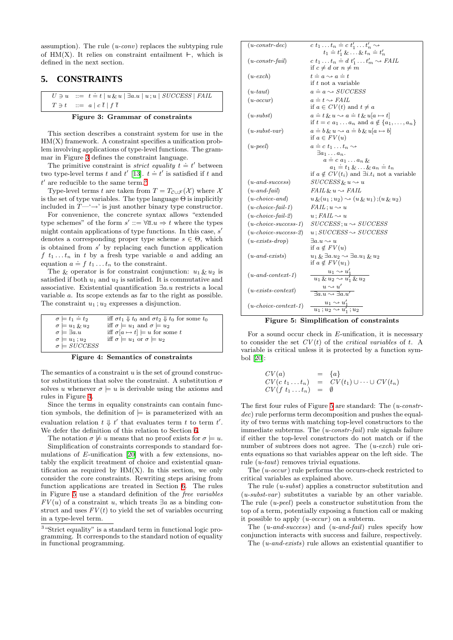assumption). The rule  $(u\text{-}conv)$  replaces the subtyping rule of HM(X). It relies on constraint entailment  $\vdash$ , which is defined in the next section.

# **5. CONSTRAINTS**

|  | $U \ni u$ : $t = t   u \& u   \exists a.u   u; u   SUCCESS   FAIL$ |  |
|--|--------------------------------------------------------------------|--|
|  | $T \ni t$ ::= $a \mid c \overline{t} \mid f \overline{t}$          |  |

#### <span id="page-4-0"></span>Figure 3: Grammar of constraints

This section describes a constraint system for use in the HM(X) framework. A constraint specifies a unification problem involving applications of type-level functions. The grammar in Figure [3](#page-4-0) defines the constraint language.

The primitive constraint is *strict equality*  $t = t'$  between two type-level terms t and t' [[13](#page-10-7)].  $t = t'$  is satisfied if t and  $t'$  are reducible to the same term.<sup>[3](#page-4-1)</sup>

Type-level terms t are taken from  $T = T_{\mathcal{C} \cup \mathcal{F}}(\mathcal{X})$  where X is the set of type variables. The type language  $\Theta$  is implicitly included in  $T \rightarrow ' \rightarrow '$  is just another binary type constructor.

For convenience, the concrete syntax allows "extended type schemes" of the form  $s' ::= \forall \bar{a}.u \Rightarrow t$  where the types might contain applications of type functions. In this case,  $s'$ denotes a corresponding proper type scheme  $s \in \Theta$ , which is obtained from  $s'$  by replacing each function application  $f\ t_1 \ldots t_n$  in t by a fresh type variable a and adding an equation  $a \doteq f$   $t_1 \ldots t_n$  to the constraint.

The  $\&$  operator is for constraint conjunction:  $u_1 \& u_2$  is satisfied if both  $u_1$  and  $u_2$  is satisfied. It is commutative and associative. Existential quantification ∃a.u restricts a local variable a. Its scope extends as far to the right as possible. The constraint  $u_1$ ;  $u_2$  expresses a disjunction.

| $\sigma \models t_1 \stackrel{.}{=} t_2$<br>$\sigma \models u_1 \& u_2$ | iff $\sigma t_1 \Downarrow t_0$ and $\sigma t_2 \Downarrow t_0$ for some $t_0$<br>iff $\sigma \models u_1$ and $\sigma \models u_2$ |
|-------------------------------------------------------------------------|-------------------------------------------------------------------------------------------------------------------------------------|
| $\sigma \models \exists a.u$                                            | iff $\sigma[a \mapsto t] \models u$ for some t                                                                                      |
| $\sigma \models u_1; u_2$                                               | iff $\sigma \models u_1$ or $\sigma \models u_2$                                                                                    |
| $\sigma \models \textit{SUCCESS}$                                       |                                                                                                                                     |

#### <span id="page-4-2"></span>Figure 4: Semantics of constraints

The semantics of a constraint  $u$  is the set of ground constructor substitutions that solve the constraint. A substitution  $\sigma$ solves u whenever  $\sigma = u$  is derivable using the axioms and rules in Figure [4](#page-4-2).

Since the terms in equality constraints can contain function symbols, the definition of  $\models$  is parameterized with an evaluation relation  $t \Downarrow t'$  that evaluates term  $t$  to term  $t'$ . We defer the definition of this relation to Section [6.](#page-5-0)

The notation  $\sigma \not\models u$  means that no proof exists for  $\sigma \models u$ . Simplification of constraints corresponds to standard formulations of E-unification[[20](#page-11-13)] with a few extensions, notably the explicit treatment of choice and existential quantification as required by  $HM(X)$ . In this section, we only consider the core constraints. Rewriting steps arising from function applications are treated in Section [6](#page-5-0). The rules in Figure [5](#page-4-3) use a standard definition of the free variables  $FV(u)$  of a constraint u, which treats  $\exists a$  as a binding construct and uses  $FV(t)$  to yield the set of variables occurring in a type-level term.

| $(u\text{-}constr\text{-}dec)$                | $c t_1 \ldots t_n \doteq c t'_1 \ldots t'_n \sim$                               |
|-----------------------------------------------|---------------------------------------------------------------------------------|
|                                               | $t_1 = t'_1 \& \ldots \& t_n = t'_n$                                            |
| $(u$ -constr-fail)                            | $c t_1 \ldots t_n \doteq d t'_1 \ldots t'_m \rightsquigarrow \text{FAIL}$       |
|                                               | if $c \neq d$ or $n \neq m$                                                     |
| $(u\text{-}exch)$                             | $t = a \rightarrow a = t$                                                       |
|                                               | if t not a variable                                                             |
| $(u\text{-}taut)$                             | $a \doteq a \rightsquigarrow \textit{SUCCESS}$                                  |
| $(u\text{-}occur)$                            | $a \doteq t \rightsquigarrow \text{FAIL}$                                       |
|                                               | if $a \in CV(t)$ and $t \neq a$                                                 |
| $(u$ -subst                                   | $a \doteq t \& u \leadsto a \doteq t \& u[a \mapsto t]$                         |
|                                               | if $t = c \ a_1 \ldots a_n$ and $a \notin \{a_1, \ldots, a_n\}$                 |
| $(u$ -subst-var)                              | $a \doteq b \& u \rightsquigarrow a \doteq b \& u[a \mapsto b]$                 |
|                                               | if $a \in FV(u)$                                                                |
| $(u$ -peel)                                   | $a \doteq c t_1 \ldots t_n \sim$                                                |
|                                               | $\exists a_1 \ldots a_n.$                                                       |
|                                               | $a = c \, a_1 \ldots a_n \, \&$<br>$a_1 \doteq t_1 \& \ldots \& a_n \doteq t_n$ |
|                                               | if $a \notin CV(t_i)$ and $\exists i.t_i$ not a variable                        |
| $(u$ -and-success)                            | $SUCCESS\& u \rightsquigarrow u$                                                |
| $(u$ -and-fail)                               | $FAIL \& u \rightsquigarrow FAIL$                                               |
| $(u\text{-}choice\text{-}-and)$               | $u \& (u_1; u_2) \rightarrow (u \& u_1); (u \& u_2)$                            |
| $(u\text{-}choice\text{-}-fail-1)$            | $FAIL; u \rightarrow u$                                                         |
| $(u\text{-}choice\text{-}+fail-2)$            | $u$ ; FAIL $\rightsquigarrow u$                                                 |
| $(u\text{-}choice\text{-}-\text{-}success-1)$ | $SUCCESS; u \sim SUCCESS$                                                       |
| $(u\text{-}choice\text{-}-\text{-}success-2)$ | $u:SUCCESS \rightarrow SUCCESS$                                                 |
| $(u\text{-}exists\text{-}drop)$               | $\exists a.u \rightarrow u$                                                     |
|                                               | if $a \notin FV(u)$                                                             |
| $(u$ -and-exists)                             | $u_1 \& \exists a.u_2 \rightarrow aexists a.u_1 \& u_2$                         |
|                                               | if $a \notin FV(u_1)$                                                           |
| $(u$ -and-context-1)                          | $\frac{u_1 \rightsquigarrow u'_1}{u_1 \& u_2 \rightsquigarrow u'_1 \& u_2}$     |
|                                               |                                                                                 |
| $(u\text{-}exists content)$                   | $u \sim u'$<br>$\overline{\exists a.u \sim \exists a.u'}$                       |
|                                               |                                                                                 |
| $(u\text{-}choice\text{-}+ context-1)$        | $\frac{u_1 \rightsquigarrow u'_1}{u_1: u_2 \rightsquigarrow u'_1: u_2}$         |
|                                               |                                                                                 |

<span id="page-4-3"></span>Figure 5: Simplification of constraints

For a sound occur check in  $E$ -unification, it is necessary to consider the set  $CV(t)$  of the *critical variables* of t. A variable is critical unless it is protected by a function symbol[[20](#page-11-13)]:

$$
CV(a) = {a}
$$
  
\n
$$
CV(c t_1 ... t_n) = CV(t_1) \cup \cdots \cup CV(t_n)
$$
  
\n
$$
CV(f t_1 ... t_n) = \emptyset
$$

The first four rules of Figure [5](#page-4-3) are standard: The  $(u$ -constr $dec)$  rule performs term decomposition and pushes the equality of two terms with matching top-level constructors to the immediate subterms. The  $(u$ -constr-fail) rule signals failure if either the top-level constructors do not match or if the number of subtrees does not agree. The (u-exch) rule orients equations so that variables appear on the left side. The rule (u-taut) removes trivial equations.

The (u-occur) rule performs the occurs-check restricted to critical variables as explained above.

The rule (u-subst) applies a constructor substitution and  $(u-subst-var)$  substitutes a variable by an other variable. The rule  $(u$ -peel) peels a constructor substitution from the top of a term, potentially exposing a function call or making it possible to apply  $(u\text{-}occur)$  on a subterm.

The  $(u$ -and-success) and  $(u$ -and-fail) rules specify how conjunction interacts with success and failure, respectively.

The (u-and-exists) rule allows an existential quantifier to

<span id="page-4-1"></span><sup>&</sup>lt;sup>3</sup> "Strict equality" is a standard term in functional logic programming. It corresponds to the standard notion of equality in functional programming.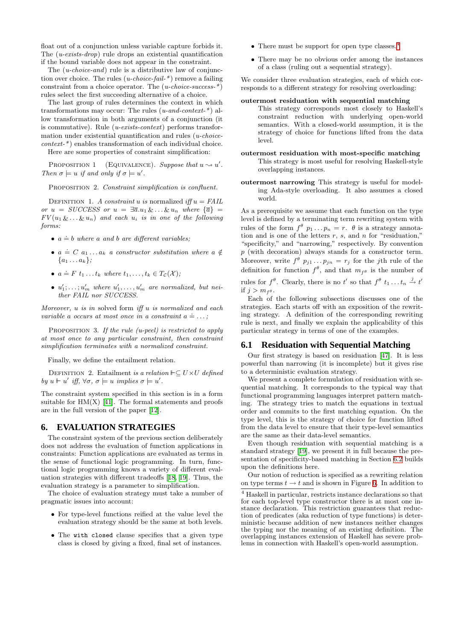float out of a conjunction unless variable capture forbids it. The  $(u\text{-}exists\text{-}drop)$  rule drops an existential quantification if the bound variable does not appear in the constraint.

The  $(u\text{-}choice\text{-} and)$  rule is a distributive law of conjunction over choice. The rules  $(u\text{-}choice\text{-}fail-*)$  remove a failing constraint from a choice operator. The  $(u\text{-}choice\text{-}success-*)$ rules select the first succeeding alternative of a choice.

The last group of rules determines the context in which transformations may occur: The rules  $(u$ -and-context-\*) allow transformation in both arguments of a conjunction (it is commutative). Rule  $(u\text{-}exists\text{-}context)$  performs transformation under existential quantification and rules  $(u\text{-}choice\text{-}4)$  $context-*$  enables transformation of each individual choice.

Here are some properties of constraint simplification:

PROPOSITION 1 (EQUIVALENCE). Suppose that  $u \sim u'$ . Then  $\sigma \models u$  if and only if  $\sigma \models u'$ .

<span id="page-5-4"></span>PROPOSITION 2. Constraint simplification is confluent.

DEFINITION 1. A constraint u is normalized iff  $u = FAIL$ or  $u = SUCCESS$  or  $u = \exists \overline{a}.u_1 \& \dots \& u_n$  where  $\{\overline{a}\} =$  $FV(u_1\&\ldots& u_n)$  and each  $u_i$  is in one of the following forms:

- $a \doteq b$  where a and b are different variables;
- $a \doteq C$   $a_1 \ldots a_k$  a constructor substitution where  $a \notin$  ${a_1 \dots a_k};$
- $a \doteq F$   $t_1 \ldots t_k$  where  $t_1, \ldots, t_k \in T_c(\mathcal{X})$ ;
- $u'_1; \ldots; u'_m$  where  $u'_1, \ldots, u'_m$  are normalized, but neither FAIL nor SUCCESS.

Moreover,  $u$  is in solved form iff  $u$  is normalized and each variable a occurs at most once in a constraint  $a = ...;$ 

<span id="page-5-5"></span>PROPOSITION 3. If the rule  $(u$ -peel) is restricted to apply at most once to any particular constraint, then constraint simplification terminates with a normalized constraint.

Finally, we define the entailment relation.

DEFINITION 2. Entailment is a relation  $\vdash \subset U \times U$  defined by  $u \vdash u'$  iff,  $\forall \sigma, \sigma \models u$  implies  $\sigma \models u'$ .

The constraint system specified in this section is in a form suitable for  $HM(X)$  [\[41\]](#page-11-11). The formal statements and proofs are in the full version of the paper [\[12](#page-10-2)].

# <span id="page-5-0"></span>**6. EVALUATION STRATEGIES**

The constraint system of the previous section deliberately does not address the evaluation of function applications in constraints: Function applications are evaluated as terms in the sense of functional logic programming. In turn, functional logic programming knows a variety of different evaluation strategies with different tradeoffs[[18](#page-11-9), [19](#page-11-10)]. Thus, the evaluation strategy is a parameter to simplification.

The choice of evaluation strategy must take a number of pragmatic issues into account:

- For type-level functions reified at the value level the evaluation strategy should be the same at both levels.
- The with closed clause specifies that a given type class is closed by giving a fixed, final set of instances.
- There must be support for open type classes.<sup>[4](#page-5-2)</sup>
- There may be no obvious order among the instances of a class (ruling out a sequential strategy).

We consider three evaluation strategies, each of which corresponds to a different strategy for resolving overloading:

#### outermost residuation with sequential matching

This strategy corresponds most closely to Haskell's constraint reduction with underlying open-world semantics. With a closed-world assumption, it is the strategy of choice for functions lifted from the data level.

<span id="page-5-3"></span>outermost residuation with most-specific matching This strategy is most useful for resolving Haskell-style overlapping instances.

outermost narrowing This strategy is useful for modeling Ada-style overloading. It also assumes a closed world.

As a prerequisite we assume that each function on the type level is defined by a terminating term rewriting system with rules of the form  $f^{\theta}$   $p_1 \ldots p_n = r$ .  $\theta$  is a strategy annotation and is one of the letters  $r$ ,  $s$ , and  $n$  for "residuation," "specificity," and "narrowing," respectively. By convention p (with decoration) always stands for a constructor term. Moreover, write  $f^{\theta}$   $p_{j1} \ldots p_{jn} = r_j$  for the jth rule of the definition for function  $f^{\theta}$ , and that  $m_{f^{\theta}}$  is the number of rules for  $f^{\theta}$ . Clearly, there is no t' so that  $f^{\theta}$   $t_1 \ldots t_n \stackrel{j}{\rightarrow} t'$ if  $j > m_{f^{\theta}}$ .

Each of the following subsections discusses one of the strategies. Each starts off with an exposition of the rewriting strategy. A definition of the corresponding rewriting rule is next, and finally we explain the applicability of this particular strategy in terms of one of the examples.

#### <span id="page-5-1"></span>**6.1 Residuation with Sequential Matching**

Our first strategy is based on residuation [\[47\]](#page-11-15). It is less powerful than narrowing (it is incomplete) but it gives rise to a deterministic evaluation strategy.

We present a complete formulation of residuation with sequential matching. It corresponds to the typical way that functional programming languages interpret pattern matching. The strategy tries to match the equations in textual order and commits to the first matching equation. On the type level, this is the strategy of choice for function lifted from the data level to ensure that their type-level semantics are the same as their data-level semantics.

Even though residuation with sequential matching is a standard strategy[[19](#page-11-10)], we present it in full because the presentation of specificity-based matching in Section [6.2](#page-7-0) builds upon the definitions here.

Our notion of reduction is specified as a rewriting relation on type terms  $t \to t$  and is shown in Figure [6.](#page-6-0) In addition to

<span id="page-5-2"></span> $\overline{4}$  Haskell in particular, restricts instance declarations so that for each top-level type constructor there is at most one instance declaration. This restriction guarantees that reduction of predicates (aka reduction of type functions) is deterministic because addition of new instances neither changes the typing nor the meaning of an existing definition. The overlapping instances extension of Haskell has severe problems in connection with Haskell's open-world assumption.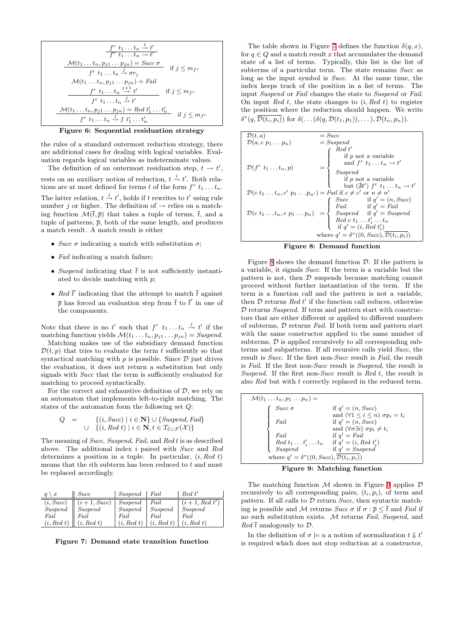$$
\frac{f^r t_1 \dots t_n \stackrel{1}{\to} t'}{f^r t_1 \dots t_n \to t'}
$$
\n
$$
\frac{\mathcal{M}(t_1 \dots t_n, p_{j1} \dots p_{jn}) = Succ \sigma}{f^r t_1 \dots t_n \stackrel{j}{\to} \sigma r_j} \quad \text{if } j \leq m_{f^r}
$$
\n
$$
\frac{\mathcal{M}(t_1 \dots t_n, p_{j1} \dots p_{jn}) = Fail}{f^r t_1 \dots t_n \stackrel{j}{\to} t'} \quad \text{if } j \leq m_{f^r}
$$
\n
$$
\frac{\mathcal{M}(t_1 \dots t_n, p_{j1} \dots p_{jn}) = Red \ t'_1 \dots t'_n}{f^r t_1 \dots t_n \stackrel{j}{\to} f \ t'_1 \dots t'_n} \quad \text{if } j \leq m_{f^r}
$$

<span id="page-6-0"></span>Figure 6: Sequential residuation strategy

the rules of a standard outermost reduction strategy, there are additional cases for dealing with logical variables. Evaluation regards logical variables as indeterminate values.

The definition of an outermost residuation step,  $t \to t'$ , rests on an auxiliary notion of reduction,  $t \stackrel{j}{\rightarrow} t'$ . Both relations are at most defined for terms t of the form  $f^r t_1 \dots t_n$ . The latter relation,  $t \stackrel{j}{\rightarrow} t'$ , holds if t rewrites to  $t'$  using rule number j or higher. The definition of  $\rightarrow$  relies on a matching function  $\mathcal{M}(\overline{t}, \overline{p})$  that takes a tuple of terms,  $\overline{t}$ , and a tuple of patterns,  $\overline{p}$ , both of the same length, and produces a match result. A match result is either

- Succ  $\sigma$  indicating a match with substitution  $\sigma$ ;
- *Fail* indicating a match failure;
- Suspend indicating that  $\overline{t}$  is not sufficiently instantiated to decide matching with p;
- Red  $\overline{t}'$  indicating that the attempt to match  $\overline{t}$  against  $\overline{p}$  has forced an evaluation step from  $\overline{t}$  to  $\overline{t}'$  in one of the components.

Note that there is no t' such that  $f^r$   $t_1 \ldots t_n \stackrel{j}{\rightarrow} t'$  if the matching function yields  $\mathcal{M}(t_1 \ldots t_n, p_{j1} \ldots p_{jn}) = Suspend.$ 

Matching makes use of the subsidiary demand function  $\mathcal{D}(t, p)$  that tries to evaluate the term t sufficiently so that syntactical matching with  $p$  is possible. Since  $\mathcal D$  just drives the evaluation, it does not return a substitution but only signals with Succ that the term is sufficiently evaluated for matching to proceed syntactically.

For the correct and exhaustive definition of  $D$ , we rely on an automaton that implements left-to-right matching. The states of the automaton form the following set Q:

$$
Q = \{(i, Succ) \mid i \in \mathbf{N}\} \cup \{Suspend, Fall\}
$$
  

$$
\cup \{(i, Red \mid t) \mid i \in \mathbf{N}, t \in T_{C \cup \mathcal{F}}(\mathcal{X})\}
$$

The meaning of Succ, Suspend, Fail, and Red t is as described above. The additional index i paired with Succ and Red determines a position in a tuple. In particular,  $(i, Red\ t)$ means that the  $i$ th subterm has been reduced to  $t$  and must be replaced accordingly.

| $\boldsymbol{x}$ | Succ          | Suspend    | Fail       | Red~t'          |
|------------------|---------------|------------|------------|-----------------|
| (i, Succ)        | $(i+1, Succ)$ | Suspend    | Fail       | $(i+1, Red t')$ |
| Suspend          | Suspend       | Suspend    | Suspend    | Suspend         |
| Fail             | Fail          | Fail       | Fail       | Fail            |
| $(i, Red\ t)$    | (i, Red t)    | (i, Red t) | (i, Red t) | (i, Red t)      |

<span id="page-6-1"></span>Figure 7: Demand state transition function

The table shown in Figure [7](#page-6-1) defines the function  $\delta(q, x)$ , for  $q \in Q$  and a match result x that accumulates the demand state of a list of terms. Typically, this list is the list of subterms of a particular term. The state remains Succ as long as the input symbol is *Succ*. At the same time, the index keeps track of the position in a list of terms. The input Suspend or Fail changes the state to Suspend or Fail. On input Red  $t$ , the state changes to  $(i, Red\ t)$  to register the position where the reduction should happen. We write  $\delta^*(q, \overline{\mathcal{D}(t_i, p_i)})$  for  $\delta(\ldots(\delta(q, \mathcal{D}(t_1, p_1)), \ldots), \mathcal{D}(t_n, p_n)).$ 



<span id="page-6-2"></span>Figure 8: Demand function

Figure [8](#page-6-2) shows the demand function  $\mathcal{D}$ . If the pattern is a variable, it signals Succ. If the term is a variable but the pattern is not, then  $D$  suspends because matching cannot proceed without further instantiation of the term. If the term is a function call and the pattern is not a variable, then  $D$  returns Red  $t'$  if the function call reduces, otherwise D returns Suspend. If term and pattern start with constructors that are either different or applied to different numbers of subterms, D returns Fail. If both term and pattern start with the same constructor applied to the same number of subterms,  $D$  is applied recursively to all corresponding subterms and subpatterns. If all recursive calls yield Succ, the result is Succ. If the first non-Succ result is Fail, the result is Fail. If the first non-Succ result is Suspend, the result is Suspend. If the first non-Succ result is Red t, the result is also Red but with t correctly replaced in the reduced term.

| $\mathcal{M}(t_1 \ldots t_n, p_1 \ldots p_n) =$         |                                                        |
|---------------------------------------------------------|--------------------------------------------------------|
| $Succ \sigma$                                           | if $q' = (n, Succ)$                                    |
|                                                         | and $(\forall 1 \leq i \leq n) \sigma p_i = t_i$       |
| Fail                                                    | if $q' = (n, Succ)$                                    |
|                                                         | and $(\forall \sigma \exists i) \ \sigma p_i \neq t_i$ |
|                                                         |                                                        |
|                                                         |                                                        |
|                                                         |                                                        |
| where $q' = \delta^*((0, Succ), \mathcal{D}(t_i, p_i))$ |                                                        |

<span id="page-6-3"></span>Figure 9: Matching function

The matching function  $\mathcal M$  shown in Figure [9](#page-6-3) applies  $\mathcal D$ recursively to all corresponding pairs,  $(t_i, p_i)$ , of term and pattern. If all calls to  $D$  return *Succ*, then syntactic matching is possible and M returns  $Succ \sigma$  if  $\sigma : \overline{p} \leq \overline{t}$  and Fail if no such substitution exists. M returns Fail, Suspend, and Red  $\bar{t}$  analogously to  $\mathcal{D}$ .

In the definition of  $\sigma \models u$  a notion of normalization  $t \Downarrow t'$ is required which does not stop reduction at a constructor,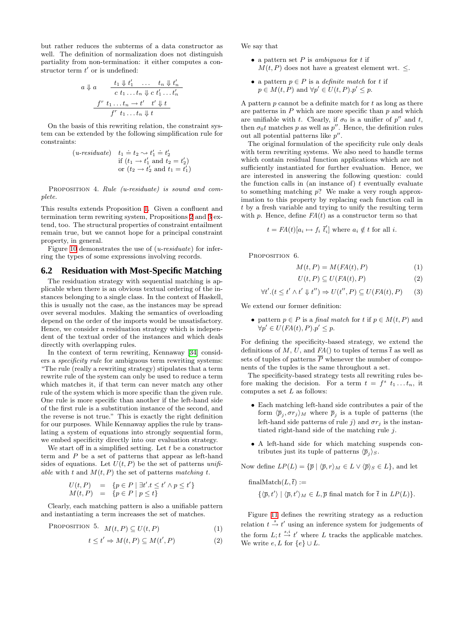but rather reduces the subterms of a data constructor as well. The definition of normalization does not distinguish partiality from non-termination: it either computes a constructor term  $t'$  or is undefined:

$$
a \Downarrow a \qquad \frac{t_1 \Downarrow t_1' \dots t_n \Downarrow t_n'}{c \ t_1 \dots t_n \Downarrow c \ t_1' \dots t_n'}
$$

$$
\frac{f^r \ t_1 \dots t_n \rightarrow t' \quad t' \Downarrow t}{f^r \ t_1 \dots t_n \Downarrow t}
$$

On the basis of this rewriting relation, the constraint system can be extended by the following simplification rule for constraints:

$$
(u\text{-}residuate) \quad t_1 \doteq t_2 \rightsquigarrow t_1' \doteq t_2'
$$
  
if  $(t_1 \rightarrow t_1'$  and  $t_2 = t_2')$   
or  $(t_2 \rightarrow t_2'$  and  $t_1 = t_1')$ 

PROPOSITION 4. Rule (u-residuate) is sound and complete.

This results extends Proposition [1](#page-5-3). Given a confluent and termination term rewriting system, Propositions [2](#page-5-4) and [3](#page-5-5) extend, too. The structural properties of constraint entailment remain true, but we cannot hope for a principal constraint property, in general.

Figure [10](#page-8-0) demonstrates the use of  $(u-residuate)$  for inferring the types of some expressions involving records.

# <span id="page-7-0"></span>**6.2 Residuation with Most-Specific Matching**

The residuation strategy with sequential matching is applicable when there is an obvious textual ordering of the instances belonging to a single class. In the context of Haskell, this is usually not the case, as the instances may be spread over several modules. Making the semantics of overloading depend on the order of the imports would be unsatisfactory. Hence, we consider a residuation strategy which is independent of the textual order of the instances and which deals directly with overlapping rules.

In the context of term rewriting, Kennaway [\[34](#page-11-16)] considers a specificity rule for ambiguous term rewriting systems: "The rule (really a rewriting strategy) stipulates that a term rewrite rule of the system can only be used to reduce a term which matches it, if that term can never match any other rule of the system which is more specific than the given rule. One rule is more specific than another if the left-hand side of the first rule is a substitution instance of the second, and the reverse is not true." This is exactly the right definition for our purposes. While Kennaway applies the rule by translating a system of equations into strongly sequential form, we embed specificity directly into our evaluation strategy.

We start off in a simplified setting. Let  $t$  be a constructor term and  $P$  be a set of patterns that appear as left-hand sides of equations. Let  $U(t, P)$  be the set of patterns unifiable with t and  $M(t, P)$  the set of patterns matching t.

$$
U(t, P) = \{p \in P \mid \exists t'.t \le t' \land p \le t'\}
$$
  

$$
M(t, P) = \{p \in P \mid p \le t\}
$$

Clearly, each matching pattern is also a unifiable pattern and instantiating a term increases the set of matches.

PROPOSITION 5. 
$$
M(t, P) \subseteq U(t, P)
$$
 (1)

$$
t \le t' \Rightarrow M(t, P) \subseteq M(t', P) \tag{2}
$$

We say that

- a pattern set  $P$  is ambiguous for  $t$  if  $M(t, P)$  does not have a greatest element wrt.  $\leq$ .
- a pattern  $p \in P$  is a *definite match* for t if  $p \in M(t, P)$  and  $\forall p' \in U(t, P) \cdot p' \leq p$ .

A pattern  $p$  cannot be a definite match for  $t$  as long as there are patterns in  $P$  which are more specific than  $p$  and which are unifiable with t. Clearly, if  $\sigma_0$  is a unifier of p'' and t, then  $\sigma_0 t$  matches p as well as p''. Hence, the definition rules out all potential patterns like  $p''$ .

The original formulation of the specificity rule only deals with term rewriting systems. We also need to handle terms which contain residual function applications which are not sufficiently instantiated for further evaluation. Hence, we are interested in answering the following question: could the function calls in (an instance of)  $t$  eventually evaluate to something matching  $p$ ? We make a very rough approximation to this property by replacing each function call in  $t$  by a fresh variable and trying to unify the resulting term with p. Hence, define  $FA(t)$  as a constructor term so that

$$
t = FA(t)[a_i \mapsto f_i \overline{t}'_i]
$$
 where  $a_i \notin t$  for all *i*.

PROPOSITION 6.

$$
M(t, P) = M(FA(t), P)
$$
\n<sup>(1)</sup>

$$
U(t, P) \subseteq U(FA(t), P) \tag{2}
$$

$$
\forall t'. (t \le t' \land t' \Downarrow t'') \Rightarrow U(t'', P) \subseteq U(FA(t), P) \tag{3}
$$

We extend our former definition:

• pattern  $p \in P$  is a *final match* for t if  $p \in M(t, P)$  and  $\forall p' \in U(FA(t), P).p' \leq p.$ 

For defining the specificity-based strategy, we extend the definitions of M, U, and FA() to tuples of terms  $\bar{t}$  as well as sets of tuples of patterns  $\overline{P}$  whenever the number of components of the tuples is the same throughout a set.

The specificity-based strategy tests all rewriting rules before making the decision. For a term  $t = f^s$   $t_1 \dots t_n$ , it computes a set  $L$  as follows:

- Each matching left-hand side contributes a pair of the form  $\langle \overline{p}_j, \sigma r_j \rangle_M$  where  $\overline{p}_j$  is a tuple of patterns (the left-hand side patterns of rule j) and  $\sigma r_i$  is the instantiated right-hand side of the matching rule  $i$ .
- A left-hand side for which matching suspends contributes just its tuple of patterns  $\langle \overline{p}_j \rangle_S$ .

Now define  $LP(L) = {\overline{p} \mid \langle \overline{p}, r \rangle_M \in L \vee \langle \overline{p} \rangle_S \in L },$  and let

finalMatch $(L,\overline{t}) :=$ 

 $\{\langle \overline{p}, t' \rangle \mid \langle \overline{p}, t' \rangle_M \in L, \overline{p} \text{ final match for } t \text{ in } LP(L) \}.$ 

Figure [11](#page-8-1) defines the rewriting strategy as a reduction relation  $t \stackrel{s}{\rightarrow} t'$  using an inference system for judgements of the form  $L; t \stackrel{s,i}{\rightarrow} t'$  where L tracks the applicable matches. We write  $e, L$  for  $\{e\} \cup L$ .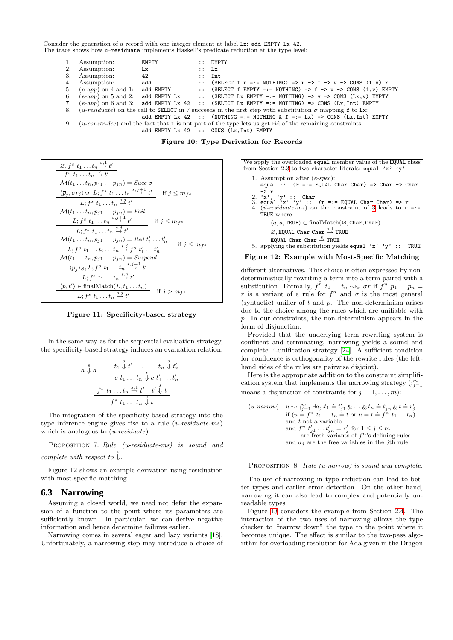Consider the generation of a record with one integer element at label Lx: add EMPTY Lx 42. The trace shows how u-residuate implements Haskell's predicate reduction at the type level: 1. Assumption: EMPTY :: EMPTY 2. Assumption: Lx :: Lx 3. Assumption: 42 :: Int 4. Assumption: add :: (SELECT f r =:= NOTHING) => r -> f -> v -> CONS (f,v) r  $5.$  (e-app) on 4 and 1: add EMPTY :: (SELECT f EMPTY =:= NOTHING) => f -> v -> CONS (f,v) EM  $(e-app)$  on 4 and 1: add EMPTY :: (SELECT f EMPTY =:= NOTHING) => f -> v -> CONS (f,v) EMPTY  $(e-app)$  on 5 and 2: add EMPTY Lx :: (SELECT Lx EMPTY =:= NOTHING) => v -> CONS (Lx,v) EMPTY 6.  $(e-app)$  on 5 and 2: add EMPTY Lx :: (SELECT Lx EMPTY =:= NOTHING) => v -> CONS (Lx, v) EMPTY 7.  $(e-app)$  on 6 and 3: add EMPTY Lx 42 :: (SELECT Lx EMPTY =:= NOTHING) => CONS (Lx, Int) EMPTY 7.  $(e-app)$  on 6 and 3: add EMPTY Lx 42 :: (SELECT Lx EMPTY =:= NOTHING) => CONS (Lx,Int) EMPTY 8. (u-residuate) on the call to SELECT in 7 succeeds in the first step with substitution  $\sigma$  mapping f to Lx:<br>add EMPTY Lx 42 :: (NOTHING =:= NOTHING & f =:= Lx) => CONS (Lx, Int)  $\therefore$  (NOTHING =:= NOTHING & f =:= Lx) => CONS (Lx,Int) EMPTY 9.  $(u\text{-}constr-dec)$  and the fact that **f** is not part of the type lets us get rid of the remaining constraints:<br>add EMPTY Lx 42 :: CONS (Lx.Int) EMPTY  $\vdots$  CONS (Lx, Int) EMPTY

<span id="page-8-0"></span>

| $\emptyset, f^s$ $t_1 \ldots t_n \stackrel{s,1}{\rightarrow} t'$                                                             |
|------------------------------------------------------------------------------------------------------------------------------|
| $f^s t_1 \ldots t_n \stackrel{s}{\rightarrow} t'$                                                                            |
| $\mathcal{M}(t_1 \ldots t_n, p_{i1} \ldots p_{in}) = Succ \sigma$                                                            |
| $\langle \overline{p}_j, \sigma r_j \rangle_M, L; f^s t_1 \dots t_n \stackrel{s,j+1}{\rightarrow} t'$<br>if $j \leq m_{f} s$ |
| $L; f^s t_1 \ldots t_n \stackrel{s,j}{\rightarrow} t'$                                                                       |
| $\mathcal{M}(t_1 \ldots t_n, p_{j1} \ldots p_{jn}) = \text{Fall}$                                                            |
| $L; f^s t_1 t_n \stackrel{s,j+1}{\rightarrow} t'$<br>if $j \leq m_{f} s$                                                     |
| $L; f^s t_1 \ldots t_n \stackrel{s,j}{\rightarrow} t'$                                                                       |
| $\mathcal{M}(t_1 \ldots t_n, p_{j1} \ldots p_{jn}) = Red t'_1 \ldots t'_n$                                                   |
| if $j \leq m_{f^s}$<br>$L; f^s t_1  t_i  t_n \stackrel{s,j}{\rightarrow} f^s t'_1  t'_n$                                     |
| $\mathcal{M}(t_1 \ldots t_n, p_{i1} \ldots p_{in}) = Suspend$                                                                |
| $\langle \overline{p}_j \rangle_S, L; f^s \ t_1 \ldots t_n \stackrel{s,j+1}{\rightarrow} t'$                                 |
| $L; f^s t_1 \ldots t_n \stackrel{s,j}{\rightarrow} t'$                                                                       |
| $\langle \overline{p}, t' \rangle \in \text{finalMatch}(L, t_1 \dots t_n)$                                                   |
| if $j > m_{f} s$<br>$L; f^s t_1 t_n \stackrel{s,j}{\rightarrow} t'$                                                          |

<span id="page-8-1"></span>Figure 11: Specificity-based strategy

In the same way as for the sequential evaluation strategy, the specificity-based strategy induces an evaluation relation:

$$
a \stackrel{s}{\downarrow} a \qquad \frac{t_1 \stackrel{s}{\downarrow} t'_1 \cdots t_n \stackrel{s}{\downarrow} t'_n}{c \ t_1 \ldots t_n \stackrel{s}{\downarrow} c \ t'_1 \ldots t'_n}
$$
\n
$$
\frac{f^s \ t_1 \ldots t_n \stackrel{s,1}{\rightarrow} t' \stackrel{s}{\downarrow} t}{f^s \ t_1 \ldots t_n \stackrel{s}{\downarrow} t}
$$

The integration of the specificity-based strategy into the type inference engine gives rise to a rule (u-residuate-ms) which is analogous to  $(u\text{-}residue)$ .

PROPOSITION 7. Rule (u-residuate-ms) is sound and complete with respect to  $\mathring{\Downarrow}$ .

Figure [12](#page-8-2) shows an example derivation using residuation with most-specific matching.

### <span id="page-8-4"></span>**6.3 Narrowing**

Assuming a closed world, we need not defer the expansion of a function to the point where its parameters are sufficiently known. In particular, we can derive negative information and hence determine failures earlier.

Narrowing comes in several eager and lazy variants[[18\]](#page-11-9). Unfortunately, a narrowing step may introduce a choice of

We apply the overloaded equal member value of the EQUAL class from Section [2.3](#page-2-0) to two character literals: equal 'x' 'y'. 1. Assumption after (e-spec):

<span id="page-8-3"></span>equal ::  $(r == EQUAL)$  Char Char) => Char -> Char 2. 'x', 'y' :: Char<br>
3. equal 'x' 'y' :: (r =:= EQUAL Char Char) => r<br>
4. (*u-residuate-ms*) on the constraint of [3](#page-8-3) leads to r =:= TRUE where  $\langle a, a, \text{TRUE}\rangle \in \text{finalMatch}(\emptyset, \text{Char}, \text{Char})$  $\varnothing,$  EQUAL Char Char $\stackrel{s,1}{\to}$  TRUE EQUAL Char Char  $\stackrel{s}{\rightarrow}$  TRUE 5. applying the substitution yields equal 'x' 'y' :: TRUE

### <span id="page-8-2"></span>Figure 12: Example with Most-Specific Matching

different alternatives. This choice is often expressed by nondeterministically rewriting a term into a term paired with a substitution. Formally,  $f^n$   $t_1 \ldots t_n \rightsquigarrow_{\sigma} \sigma r$  if  $f^n$   $p_1 \ldots p_n =$ r is a variant of a rule for  $f^n$  and  $\sigma$  is the most general (syntactic) unifier of  $\bar{t}$  and  $\bar{p}$ . The non-determinism arises due to the choice among the rules which are unifiable with  $\bar{p}$ . In our constraints, the non-determinism appears in the form of disjunction.

Provided that the underlying term rewriting system is confluent and terminating, narrowing yields a sound and complete E-unification strategy[[24](#page-11-17)]. A sufficient condition for confluence is orthogonality of the rewrite rules (the lefthand sides of the rules are pairwise disjoint).

Here is the appropriate addition to the constraint simplification system that implements the narrowing strategy  $\binom{m}{j=1}$ means a disjunction of constraints for  $j = 1, \ldots, m$ :

 $(u\text{-}narrow)$   $u \sim \sum_{j=1}^{m} \exists \overline{a}_j \cdot t_1 \doteq t'_{j1} \& \dots \& t_n \doteq t'_{jn} \& t \doteq r'_{j}$ <br>if  $(u = f^n \ t_1 \dots t_n \doteq t \text{ or } u = t \doteq f^n \ t_1 \dots t_n$ and  $t$  not a variable  $\,$ and  $f^n$   $t'_{j1} \ldots t'_{jn} = r'_j$  for  $1 \le j \le m$ are fresh variants of  $f<sup>n</sup>$ 's defining rules and  $\overline{a}_j$  are the free variables in the  $j\hspace{1pt}\text{th}$  rule

PROPOSITION 8. Rule (u-narrow) is sound and complete.

The use of narrowing in type reduction can lead to better types and earlier error detection. On the other hand, narrowing it can also lead to complex and potentially unreadable types.

Figure [13](#page-10-8) considers the example from Section [2.4.](#page-3-4) The interaction of the two uses of narrowing allows the type checker to "narrow down" the type to the point where it becomes unique. The effect is similar to the two-pass algorithm for overloading resolution for Ada given in the Dragon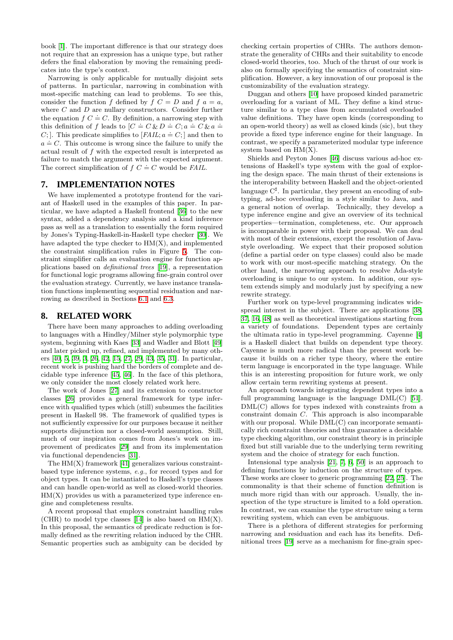book[[1](#page-10-9)]. The important difference is that our strategy does not require that an expression has a unique type, but rather defers the final elaboration by moving the remaining predicates into the type's context.

Narrowing is only applicable for mutually disjoint sets of patterns. In particular, narrowing in combination with most-specific matching can lead to problems. To see this, consider the function f defined by  $f C = D$  and  $f a = a$ , where  $C$  and  $D$  are nullary constructors. Consider further the equation  $f C \doteq C$ . By definition, a narrowing step with this definition of f leads to  $[C = C \& D = C; a = C \& a = C$ C; ]. This predicate simplifies to  $[FAIL; a \doteq C; ]$  and then to  $a \doteq C$ . This outcome is wrong since the failure to unify the actual result of f with the expected result is interpreted as failure to match the argument with the expected argument. The correct simplification of  $f C \doteq C$  would be *FAIL*.

# <span id="page-9-0"></span>**7. IMPLEMENTATION NOTES**

We have implemented a prototype frontend for the variant of Haskell used in the examples of this paper. In particular, we have adapted a Haskell frontend [\[36](#page-11-18)] to the new syntax, added a dependency analysis and a kind inference pass as well as a translation to essentially the form required by Jones's Typing-Haskell-in-Haskell type checker [\[30](#page-11-19)]. We have adapted the type checker to  $HM(X)$ , and implemented the constraint simplification rules in Figure [5.](#page-4-3) The constraint simplifier calls an evaluation engine for function applications based on definitional trees [\[19\]](#page-11-10), a representation for functional logic programs allowing fine-grain control over the evaluation strategy. Currently, we have instance translation functions implementing sequential residuation and narrowing as described in Sections [6.1](#page-5-1) and [6.3](#page-8-4).

# <span id="page-9-1"></span>**8. RELATED WORK**

There have been many approaches to adding overloading to languages with a Hindley/Milner style polymorphic type system, beginning with Kaes[[33](#page-11-20)] and Wadler and Blott [\[49](#page-11-0)] and later picked up, refined, and implemented by many others [\[40,](#page-11-21) [5,](#page-10-5) [39](#page-11-14), [3](#page-10-10), [26,](#page-11-1) [42](#page-11-22), [15,](#page-10-11) [27](#page-11-23), [29,](#page-11-24) [43](#page-11-2), [35](#page-11-3), [31\]](#page-11-4). In particular, recent work is pushing hard the borders of complete and decidable type inference[[45,](#page-11-25) [46\]](#page-11-26). In the face of this plethora, we only consider the most closely related work here.

The work of Jones[[27\]](#page-11-23) and its extension to constructor classes[[26\]](#page-11-1) provides a general framework for type inference with qualified types which (still) subsumes the facilities present in Haskell 98. The framework of qualified types is not sufficiently expressive for our purposes because it neither supports disjunction nor a closed-world assumption. Still, much of our inspiration comes from Jones's work on improvement of predicates[[29\]](#page-11-24) and from its implementation via functional dependencies [\[31\]](#page-11-4).

The $HM(X)$  framework [[41\]](#page-11-11) generalizes various constraintbased type inference systems, e.g., for record types and for object types. It can be instantiated to Haskell's type classes and can handle open-world as well as closed-world theories.  $HM(X)$  provides us with a parameterized type inference engine and completeness results.

A recent proposal that employs constraint handling rules (CHR)to model type classes [[14\]](#page-10-12) is also based on  $HM(X)$ . In this proposal, the semantics of predicate reduction is formally defined as the rewriting relation induced by the CHR. Semantic properties such as ambiguity can be decided by checking certain properties of CHRs. The authors demonstrate the generality of CHRs and their suitability to encode closed-world theories, too. Much of the thrust of our work is also on formally specifying the semantics of constraint simplification. However, a key innovation of our proposal is the customizability of the evaluation strategy.

Duggan and others[[10\]](#page-10-13) have proposed kinded parametric overloading for a variant of ML. They define a kind structure similar to a type class from accumulated overloaded value definitions. They have open kinds (corresponding to an open-world theory) as well as closed kinds (sic), but they provide a fixed type inference engine for their language. In contrast, we specify a parameterized modular type inference system based on HM(X).

Shields and Peyton Jones [\[46\]](#page-11-26) discuss various ad-hoc extensions of Haskell's type system with the goal of exploring the design space. The main thrust of their extensions is the interoperability between Haskell and the object-oriented language  $C^{\sharp}$ . In particular, they present an encoding of subtyping, ad-hoc overloading in a style similar to Java, and a general notion of overlap. Technically, they develop a type inference engine and give an overview of its technical properties—termination, completeness, etc. Our approach is incomparable in power with their proposal. We can deal with most of their extensions, except the resolution of Javastyle overloading. We expect that their proposed solution (define a partial order on type classes) could also be made to work with our most-specific matching strategy. On the other hand, the narrowing approach to resolve Ada-style overloading is unique to our system. In addition, our system extends simply and modularly just by specifying a new rewrite strategy.

Further work on type-level programming indicates widespread interest in the subject. There are applications [\[38](#page-11-8), [37](#page-11-7), [16,](#page-10-0) [48](#page-11-6)] as well as theoretical investigations starting from a variety of foundations. Dependent types are certainly the ultimata ratio in type-level programming. Cayenne[[4](#page-10-3)] is a Haskell dialect that builds on dependent type theory. Cayenne is much more radical than the present work because it builds on a richer type theory, where the entire term language is encorporated in the type language. While this is an interesting proposition for future work, we only allow certain term rewriting systems at present.

An approach towards integrating dependent types into a full programming language is the language DML(C)[[51\]](#page-11-27). DML(C) allows for types indexed with constraints from a constraint domain C. This approach is also incomparable with our proposal. While  $DML(C)$  can incorporate semantically rich constraint theories and thus guarantee a decidable type checking algorithm, our constraint theory is in principle fixed but still variable due to the underlying term rewriting system and the choice of strategy for each function.

Intensional type analysis [\[21](#page-11-28), [7](#page-10-14), [6](#page-10-15), [50\]](#page-11-29) is an approach to defining functions by induction on the structure of types. These works are closer to generic programming[[22,](#page-11-30) [25](#page-11-31)]. The commonality is that their scheme of function definition is much more rigid than with our approach. Usually, the inspection of the type structure is limited to a fold operation. In contrast, we can examine the type structure using a term rewriting system, which can even be ambiguous.

There is a plethora of different strategies for performing narrowing and residuation and each has its benefits. Definitional trees [\[19\]](#page-11-10) serve as a mechanism for fine-grain spec-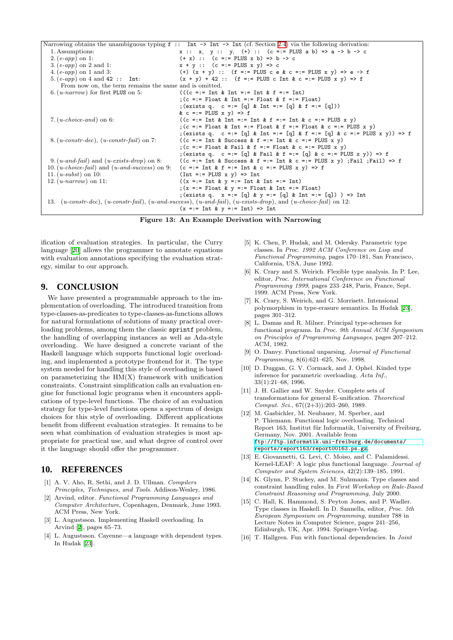```
Narrowing obtains the unambiguous typing f :: Int \rightarrow Int \rightarrow 2.4) via the following derivation:
  1. Assumptions: x :: x, y :: y, (+) :: (c == = 0, b) => a => b => c2. (e-app) on 1: (+ x) :: (c == 5) -2 -6 -5 -63. (e-app) on 2 and 1:<br>
4. (e-app) on 1 and 3:<br>
x + y :: (c =:= PLUS x y) => c<br>
(+) (x + y) :: (f =:= PLUS c e
  4. (e-app) on 1 and 3:<br>
5. (e-app) on 4 and 42 :: Int:<br>
(x + y) + 42 :: (f =:= PLUS c Int & c =:= PLUS x y) => e -> f
                                                (x + y) + 42 :: (f =:= PLUS c Int & c =:= PLUS x y) => f
     From now on, the term remains the same and is omitted.
  6. (u\text{-}narrow) for first PLUS on 5: ((c == Int k Int == Int k f == Int); (c =:= Float & Int =:= Float & f =: Float)
                                                ;(exists q. c =:= [q] & Int =:= [q] & f =:= [q]))
                                                \& c == PLUS x y) => f
  7. (u\text{-}choice\text{-} and) on 6: ((c == Int \& \text{Int} == \text{Int} \& f == Int \& f == \text{Int} \& c == \text{PLUS} \times v); (c =:= Float & Int =:= Float & f =:= Float & c =:= PLUS x y)
                                                ;(exists q. c =:= [q] & Int =:= [q] & f =:= [q] & c =:= PLUS x y)) => f
  8. (u-constr-dec), (u-constr-fail) on 7: ((c =:= Int & Success & f =:= Int & c =:= PLUS x y)
                                                ; (c =:= Float & Fail & f =:= Float & c =:= PLUS x y)
                                                ;(exists q. c =:= [q] & Fail & f =:= [q] & c =:= PLUS x y)) => f
  9. (u\text{-}and\text{-}fail) and (u\text{-}exists\text{-}drop) on 8: ((c =:= Int & Success & f =:= Int & c =:= PLUS x y) ;Fail ;Fail) => f
 10. (u-choice-fail) and (u-and-success) on 9: (c =:= Int & f =:= Int & c =:= PLUS x y) => f<br>11. (u-subst) on 10: (Int =:= PLUS x y) => Int
 11. (u\text{-}subst) on 10: (Int =:= PLUS x y) => Int <br>12. (u\text{-}norm) on 11: ((x == \text{Int } k \le x == \text{Int } k)((x == Int & y == Int & Int & Int & = := Int); (x == Float & y == Float & Int =:= Float)
                                                ;(exists q. x == [q] \& y == [q] \& \text{Int} == [q]) => Int
 13. (u-constr-dec), (u-constr-fail), (u-and-success), (u-and-fail), (u-exists-drop), and (u-choice-fail) on 12:
                                                (x == Int & y == Int) => Int
```
<span id="page-10-8"></span>Figure 13: An Example Derivation with Narrowing

ification of evaluation strategies. In particular, the Curry language[[20\]](#page-11-13) allows the programmer to annotate equations with evaluation annotations specifying the evaluation strategy, similar to our approach.

# **9. CONCLUSION**

We have presented a programmable approach to the implementation of overloading. The introduced transition from type-classes-as-predicates to type-classes-as-functions allows for natural formulations of solutions of many practical overloading problems, among them the classic sprintf problem, the handling of overlapping instances as well as Ada-style overloading. We have designed a concrete variant of the Haskell language which supports functional logic overloading, and implemented a prototype frontend for it. The type system needed for handling this style of overloading is based on parameterizing the HM(X) framework with unification constraints. Constraint simplification calls an evaluation engine for functional logic programs when it encounters applications of type-level functions. The choice of an evaluation strategy for type-level functions opens a spectrum of design choices for this style of overloading. Different applications benefit from different evaluation strategies. It remains to be seen what combination of evaluation strategies is most appropriate for practical use, and what degree of control over it the language should offer the programmer.

# **10. REFERENCES**

- <span id="page-10-9"></span>[1] A. V. Aho, R. Sethi, and J. D. Ullman. Compilers Principles, Techniques, and Tools. Addison-Wesley, 1986.
- <span id="page-10-16"></span>[2] Arvind, editor. Functional Programming Languages and Computer Architecture, Copenhagen, Denmark, June 1993. ACM Press, New York.
- <span id="page-10-10"></span>[3] L. Augustsson. Implementing Haskell overloading. In Arvind[[2\]](#page-10-16), pages 65–73.
- <span id="page-10-3"></span>[4] L. Augustsson. Cayenne—a language with dependent types. In Hudak[[23](#page-11-32)].
- <span id="page-10-5"></span>[5] K. Chen, P. Hudak, and M. Odersky. Parametric type classes. In Proc. 1992 ACM Conference on Lisp and Functional Programming, pages 170–181, San Francisco, California, USA, June 1992.
- <span id="page-10-15"></span>[6] K. Crary and S. Weirich. Flexible type analysis. In P. Lee, editor, Proc. International Conference on Functional Programming 1999, pages 233–248, Paris, France, Sept. 1999. ACM Press, New York.
- <span id="page-10-14"></span>[7] K. Crary, S. Weirich, and G. Morrisett. Intensional polymorphism in type-erasure semantics. In Hudak [\[23\]](#page-11-32), pages 301–312.
- <span id="page-10-6"></span>[8] L. Damas and R. Milner. Principal type-schemes for functional programs. In Proc. 9th Annual ACM Symposium on Principles of Programming Languages, pages 207–212. ACM, 1982.
- <span id="page-10-4"></span>[9] O. Danvy. Functional unparsing. Journal of Functional Programming, 8(6):621–625, Nov. 1998.
- <span id="page-10-13"></span>[10] D. Duggan, G. V. Cormack, and J. Ophel. Kinded type inference for parametric overloading. Acta Inf., 33(1):21–68, 1996.
- <span id="page-10-1"></span>[11] J. H. Gallier and W. Snyder. Complete sets of transformations for general E-unification. Theoretical Comput. Sci., 67((2+3)):203–260, 1989.
- <span id="page-10-2"></span>[12] M. Gasbichler, M. Neubauer, M. Sperber, and P. Thiemann. Functional logic overloading. Technical Report 163, Institut für Informatik, University of Freiburg, Germany, Nov. 2001. Available from [ftp://ftp.informatik.uni-freiburg.de/documents/](ftp://ftp.informatik.uni-freiburg.de/documents/reports/report163/report00163.ps.gz) [reports/report163/report00163.ps.gz](ftp://ftp.informatik.uni-freiburg.de/documents/reports/report163/report00163.ps.gz).
- <span id="page-10-7"></span>[13] E. Giovannetti, G. Levi, C. Moiso, and C. Palamidessi. Kernel-LEAF: A logic plus functional language. Journal of Computer and System Sciences, 42(2):139–185, 1991.
- <span id="page-10-12"></span>[14] K. Glynn, P. Stuckey, and M. Sulzmann. Type classes and constraint handling rules. In First Workshop on Rule-Based Constraint Reasoning and Programming, July 2000.
- <span id="page-10-11"></span>[15] C. Hall, K. Hammond, S. Peyton Jones, and P. Wadler. Type classes in Haskell. In D. Sannella, editor, Proc. 5th European Symposium on Programming, number 788 in Lecture Notes in Computer Science, pages 241–256, Edinburgh, UK, Apr. 1994. Springer-Verlag.
- <span id="page-10-0"></span>[16] T. Hallgren. Fun with functional dependencies. In *Joint*